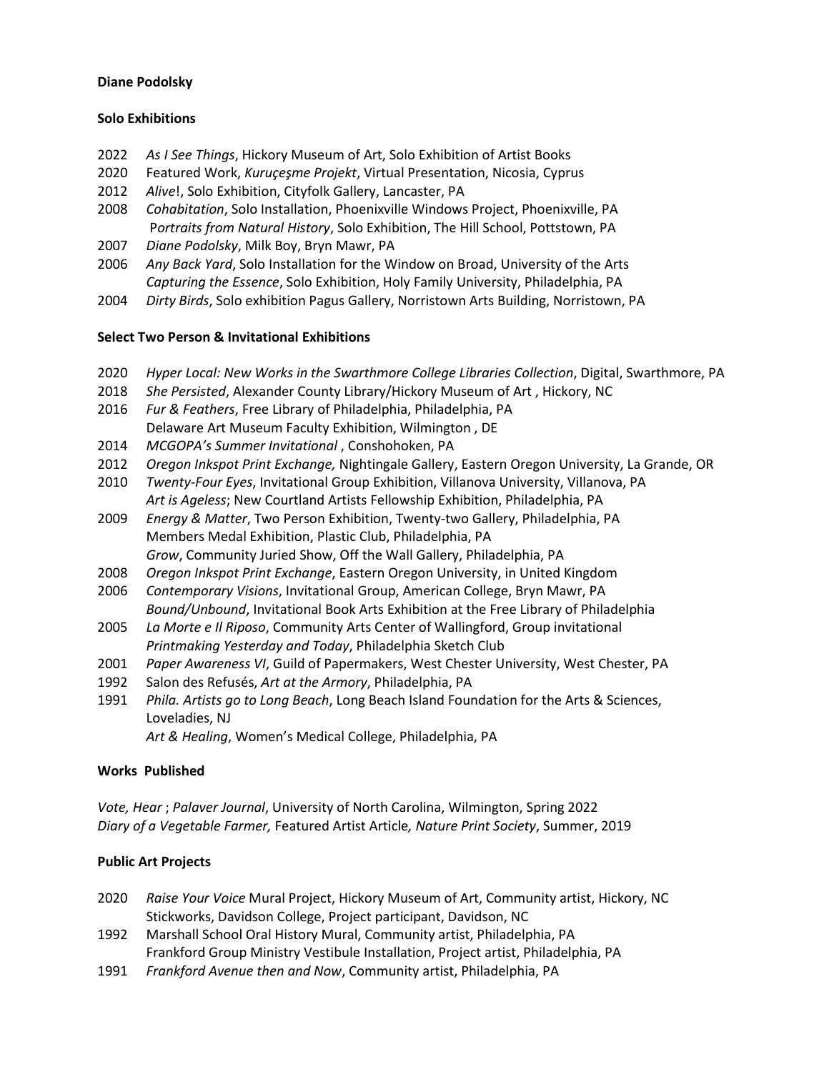# **Diane Podolsky**

# **Solo Exhibitions**

- 2022 *As I See Things*, Hickory Museum of Art, Solo Exhibition of Artist Books
- 2020 Featured Work, *Kuruçeşme Projekt*, Virtual Presentation, Nicosia, Cyprus
- 2012 *Alive*!, Solo Exhibition, Cityfolk Gallery, Lancaster, PA
- 2008 *Cohabitation*, Solo Installation, Phoenixville Windows Project, Phoenixville, PA P*ortraits from Natural History*, Solo Exhibition, The Hill School, Pottstown, PA
- 2007 *Diane Podolsky*, Milk Boy, Bryn Mawr, PA
- 2006 *Any Back Yard*, Solo Installation for the Window on Broad, University of the Arts *Capturing the Essence*, Solo Exhibition, Holy Family University, Philadelphia, PA
- 2004 *Dirty Birds*, Solo exhibition Pagus Gallery, Norristown Arts Building, Norristown, PA

# **Select Two Person & Invitational Exhibitions**

- 2020 *Hyper Local: New Works in the Swarthmore College Libraries Collection*, Digital, Swarthmore, PA
- 2018 *She Persisted*, Alexander County Library/Hickory Museum of Art , Hickory, NC
- 2016 *Fur & Feathers*, Free Library of Philadelphia, Philadelphia, PA Delaware Art Museum Faculty Exhibition, Wilmington , DE
- 2014 *MCGOPA's Summer Invitational* , Conshohoken, PA
- 2012 *Oregon Inkspot Print Exchange,* Nightingale Gallery, Eastern Oregon University, La Grande, OR
- 2010 *Twenty-Four Eyes*, Invitational Group Exhibition, Villanova University, Villanova, PA *Art is Ageless*; New Courtland Artists Fellowship Exhibition, Philadelphia, PA
- 2009 *Energy & Matter*, Two Person Exhibition, Twenty-two Gallery, Philadelphia, PA Members Medal Exhibition, Plastic Club, Philadelphia, PA *Grow*, Community Juried Show, Off the Wall Gallery, Philadelphia, PA
- 2008 *Oregon Inkspot Print Exchange*, Eastern Oregon University, in United Kingdom
- 2006 *Contemporary Visions*, Invitational Group, American College, Bryn Mawr, PA
- *Bound/Unbound*, Invitational Book Arts Exhibition at the Free Library of Philadelphia
- 2005 *La Morte e Il Riposo*, Community Arts Center of Wallingford, Group invitational *Printmaking Yesterday and Today*, Philadelphia Sketch Club
- 2001 *Paper Awareness VI*, Guild of Papermakers, West Chester University, West Chester, PA
- 1992 Salon des Refusés, *Art at the Armory*, Philadelphia, PA
- 1991 *Phila. Artists go to Long Beach*, Long Beach Island Foundation for the Arts & Sciences, Loveladies, NJ

*Art & Healing*, Women's Medical College, Philadelphia, PA

# **Works Published**

*Vote, Hear* ; *Palaver Journal*, University of North Carolina, Wilmington, Spring 2022 *Diary of a Vegetable Farmer,* Featured Artist Article*, Nature Print Society*, Summer, 2019

# **Public Art Projects**

- 2020 *Raise Your Voice* Mural Project, Hickory Museum of Art, Community artist, Hickory, NC Stickworks, Davidson College, Project participant, Davidson, NC
- 1992 Marshall School Oral History Mural, Community artist, Philadelphia, PA Frankford Group Ministry Vestibule Installation, Project artist, Philadelphia, PA
- 1991 *Frankford Avenue then and Now*, Community artist, Philadelphia, PA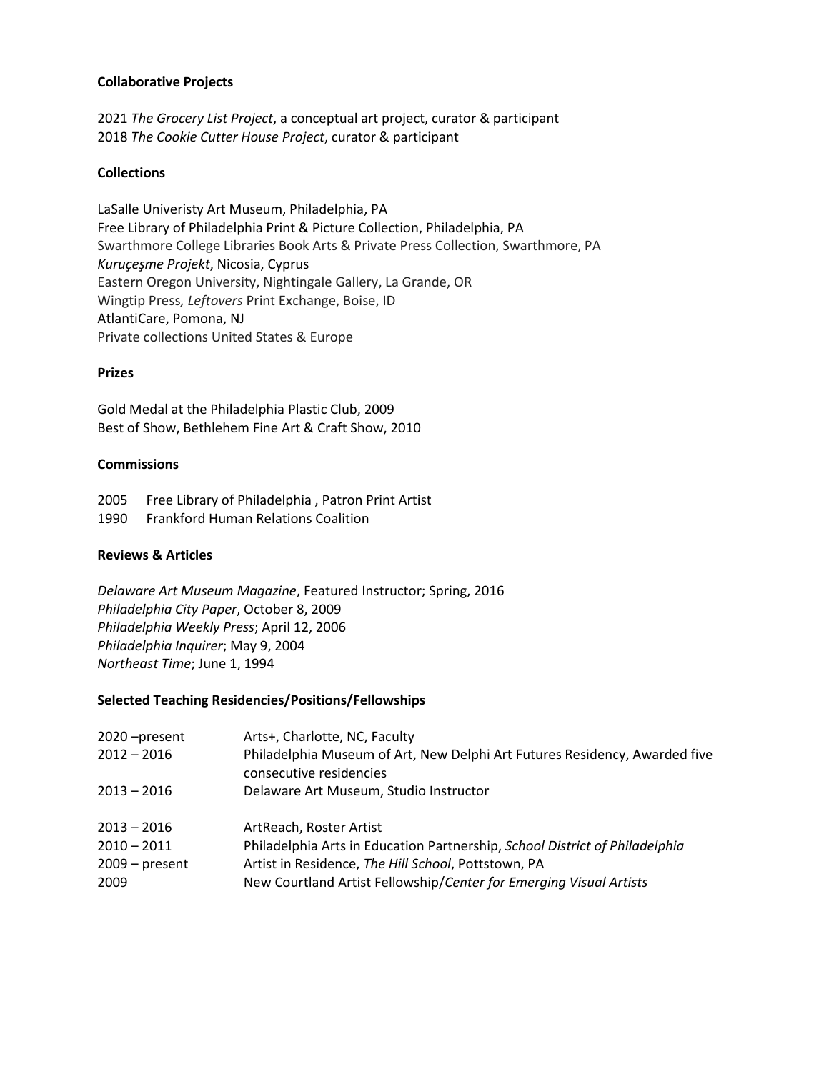# **Collaborative Projects**

2021 *The Grocery List Project*, a conceptual art project, curator & participant 2018 *The Cookie Cutter House Project*, curator & participant

# **Collections**

LaSalle Univeristy Art Museum, Philadelphia, PA Free Library of Philadelphia Print & Picture Collection, Philadelphia, PA Swarthmore College Libraries Book Arts & Private Press Collection, Swarthmore, PA *Kuruçeşme Projekt*, Nicosia, Cyprus Eastern Oregon University, Nightingale Gallery, La Grande, OR Wingtip Press*, Leftovers* Print Exchange, Boise, ID AtlantiCare, Pomona, NJ Private collections United States & Europe

#### **Prizes**

Gold Medal at the Philadelphia Plastic Club, 2009 Best of Show, Bethlehem Fine Art & Craft Show, 2010

#### **Commissions**

2005 Free Library of Philadelphia , Patron Print Artist

1990 Frankford Human Relations Coalition

# **Reviews & Articles**

*Delaware Art Museum Magazine*, Featured Instructor; Spring, 2016 *Philadelphia City Paper*, October 8, 2009 *Philadelphia Weekly Press*; April 12, 2006 *Philadelphia Inquirer*; May 9, 2004 *Northeast Time*; June 1, 1994

# **Selected Teaching Residencies/Positions/Fellowships**

| 2020 – present<br>$2012 - 2016$<br>$2013 - 2016$ | Arts+, Charlotte, NC, Faculty<br>Philadelphia Museum of Art, New Delphi Art Futures Residency, Awarded five<br>consecutive residencies<br>Delaware Art Museum, Studio Instructor |
|--------------------------------------------------|----------------------------------------------------------------------------------------------------------------------------------------------------------------------------------|
| $2013 - 2016$                                    | ArtReach, Roster Artist                                                                                                                                                          |
| $2010 - 2011$                                    | Philadelphia Arts in Education Partnership, School District of Philadelphia                                                                                                      |
| $2009 - present$                                 | Artist in Residence, The Hill School, Pottstown, PA                                                                                                                              |
| 2009                                             | New Courtland Artist Fellowship/Center for Emerging Visual Artists                                                                                                               |